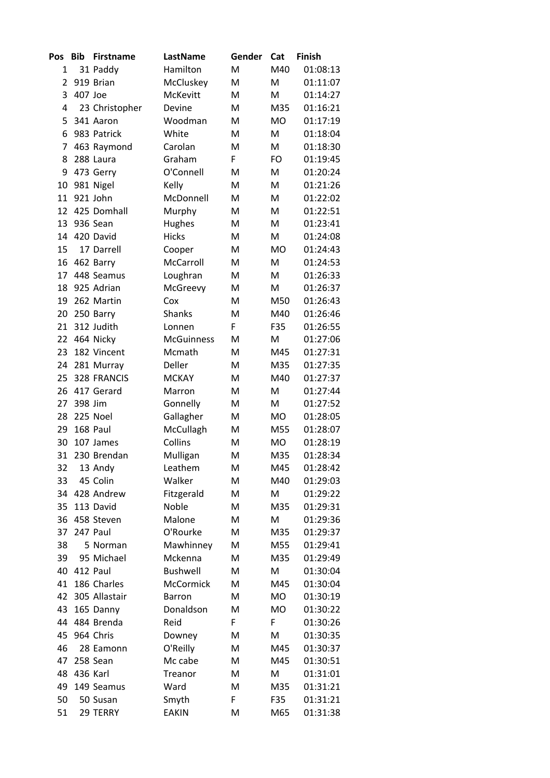| Pos | <b>Bib</b> | <b>Firstname</b> | LastName          | Gender | Cat       | <b>Finish</b> |
|-----|------------|------------------|-------------------|--------|-----------|---------------|
| 1   |            | 31 Paddy         | Hamilton          | M      | M40       | 01:08:13      |
| 2   |            | 919 Brian        | McCluskey         | M      | M         | 01:11:07      |
| 3   | 407 Joe    |                  | <b>McKevitt</b>   | M      | M         | 01:14:27      |
| 4   |            | 23 Christopher   | Devine            | M      | M35       | 01:16:21      |
| 5   |            | 341 Aaron        | Woodman           | M      | <b>MO</b> | 01:17:19      |
| 6   |            | 983 Patrick      | White             | M      | M         | 01:18:04      |
| 7   |            | 463 Raymond      | Carolan           | M      | M         | 01:18:30      |
| 8   |            | 288 Laura        | Graham            | F      | <b>FO</b> | 01:19:45      |
| 9   |            | 473 Gerry        | O'Connell         | M      | M         | 01:20:24      |
| 10  |            | 981 Nigel        | Kelly             | M      | M         | 01:21:26      |
| 11  |            | 921 John         | McDonnell         | M      | M         | 01:22:02      |
| 12  |            | 425 Domhall      | Murphy            | M      | M         | 01:22:51      |
| 13  |            | 936 Sean         | Hughes            | M      | M         | 01:23:41      |
| 14  |            | 420 David        | <b>Hicks</b>      | M      | M         | 01:24:08      |
| 15  |            | 17 Darrell       | Cooper            | M      | <b>MO</b> | 01:24:43      |
| 16  |            | 462 Barry        | McCarroll         | M      | M         | 01:24:53      |
| 17  |            | 448 Seamus       | Loughran          | M      | M         | 01:26:33      |
| 18  |            | 925 Adrian       | McGreevy          | M      | M         | 01:26:37      |
| 19  |            | 262 Martin       | Cox               | M      | M50       | 01:26:43      |
| 20  |            | 250 Barry        | <b>Shanks</b>     | M      | M40       | 01:26:46      |
| 21  |            | 312 Judith       | Lonnen            | F      | F35       | 01:26:55      |
| 22  |            | 464 Nicky        | <b>McGuinness</b> | M      | M         | 01:27:06      |
| 23  |            | 182 Vincent      | Mcmath            | M      | M45       | 01:27:31      |
| 24  |            | 281 Murray       | Deller            | M      | M35       | 01:27:35      |
| 25  |            | 328 FRANCIS      | <b>MCKAY</b>      | M      | M40       | 01:27:37      |
| 26  |            | 417 Gerard       | Marron            | M      | M         | 01:27:44      |
| 27  | 398 Jim    |                  | Gonnelly          | M      | M         | 01:27:52      |
| 28  |            | 225 Noel         | Gallagher         | M      | <b>MO</b> | 01:28:05      |
| 29  |            | 168 Paul         | McCullagh         | M      | M55       | 01:28:07      |
| 30  |            | 107 James        | Collins           | M      | <b>MO</b> | 01:28:19      |
| 31  |            | 230 Brendan      | Mulligan          | M      | M35       | 01:28:34      |
| 32  |            | 13 Andy          | Leathem           | Μ      | M45       | 01:28:42      |
| 33  |            | 45 Colin         | Walker            | M      | M40       | 01:29:03      |
| 34  |            | 428 Andrew       | Fitzgerald        | M      | M         | 01:29:22      |
| 35  |            | 113 David        | Noble             | M      | M35       | 01:29:31      |
| 36  |            | 458 Steven       | Malone            | M      | M         | 01:29:36      |
| 37  |            | 247 Paul         | O'Rourke          | M      | M35       | 01:29:37      |
| 38  |            | 5 Norman         | Mawhinney         | M      | M55       | 01:29:41      |
| 39  |            | 95 Michael       | Mckenna           | M      | M35       | 01:29:49      |
| 40  |            | 412 Paul         | <b>Bushwell</b>   | M      | M         | 01:30:04      |
| 41  |            | 186 Charles      | McCormick         | M      | M45       | 01:30:04      |
| 42  |            | 305 Allastair    | <b>Barron</b>     | M      | MO        | 01:30:19      |
| 43  |            | 165 Danny        | Donaldson         | M      | MO        | 01:30:22      |
| 44  |            | 484 Brenda       | Reid              | F      | F         | 01:30:26      |
| 45  |            | 964 Chris        | Downey            | M      | M         | 01:30:35      |
| 46  |            | 28 Eamonn        | O'Reilly          | M      | M45       | 01:30:37      |
| 47  |            | 258 Sean         | Mc cabe           | M      | M45       | 01:30:51      |
| 48  |            | 436 Karl         | Treanor           | M      | M         | 01:31:01      |
| 49  |            | 149 Seamus       | Ward              | M      | M35       | 01:31:21      |
| 50  |            | 50 Susan         | Smyth             | F      | F35       | 01:31:21      |
| 51  |            | 29 TERRY         | <b>EAKIN</b>      | M      | M65       | 01:31:38      |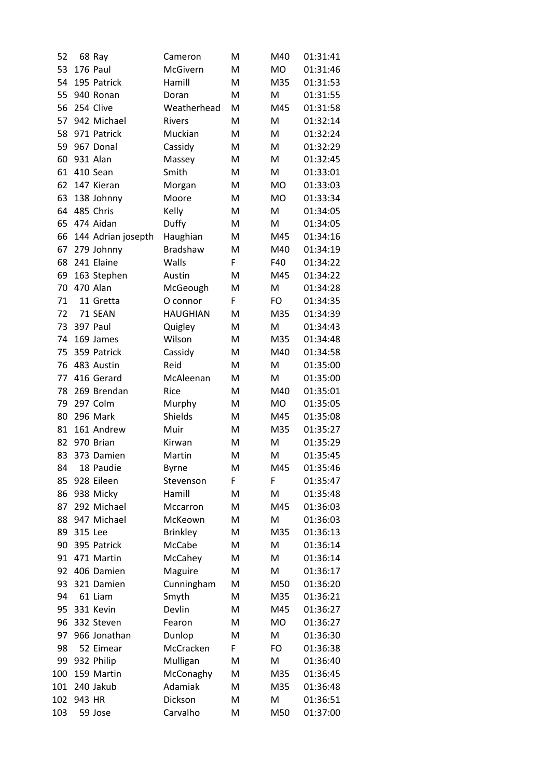| 52  |         | 68 Ray             | Cameron         | M | M40       | 01:31:41 |
|-----|---------|--------------------|-----------------|---|-----------|----------|
| 53  |         | 176 Paul           | McGivern        | M | <b>MO</b> | 01:31:46 |
| 54  |         | 195 Patrick        | Hamill          | M | M35       | 01:31:53 |
| 55  |         | 940 Ronan          | Doran           | M | M         | 01:31:55 |
| 56  |         | 254 Clive          | Weatherhead     | M | M45       | 01:31:58 |
| 57  |         | 942 Michael        | <b>Rivers</b>   | M | M         | 01:32:14 |
| 58  |         | 971 Patrick        | Muckian         | M | M         | 01:32:24 |
| 59  |         | 967 Donal          | Cassidy         | M | M         | 01:32:29 |
| 60  |         | 931 Alan           | Massey          | M | M         | 01:32:45 |
| 61  |         | 410 Sean           | Smith           | M | Μ         | 01:33:01 |
| 62  |         | 147 Kieran         | Morgan          | M | <b>MO</b> | 01:33:03 |
| 63  |         | 138 Johnny         | Moore           | M | <b>MO</b> | 01:33:34 |
| 64  |         | 485 Chris          | Kelly           | M | M         | 01:34:05 |
| 65  |         | 474 Aidan          | Duffy           | M | M         | 01:34:05 |
| 66  |         | 144 Adrian josepth | Haughian        | M | M45       | 01:34:16 |
| 67  |         | 279 Johnny         | <b>Bradshaw</b> | M | M40       | 01:34:19 |
| 68  |         | 241 Elaine         | Walls           | F | F40       | 01:34:22 |
| 69  |         | 163 Stephen        | Austin          | M | M45       | 01:34:22 |
| 70  |         | 470 Alan           | McGeough        | M | M         | 01:34:28 |
| 71  |         | 11 Gretta          | O connor        | F | <b>FO</b> | 01:34:35 |
| 72  |         | 71 SEAN            | <b>HAUGHIAN</b> | M | M35       | 01:34:39 |
| 73  |         | 397 Paul           | Quigley         | M | M         | 01:34:43 |
| 74  |         | 169 James          | Wilson          | M | M35       | 01:34:48 |
| 75  |         | 359 Patrick        | Cassidy         | M | M40       | 01:34:58 |
| 76  |         | 483 Austin         | Reid            | M | M         | 01:35:00 |
| 77  |         | 416 Gerard         | McAleenan       | M | M         | 01:35:00 |
| 78  |         | 269 Brendan        | Rice            | M | M40       | 01:35:01 |
| 79  |         | 297 Colm           | Murphy          | M | <b>MO</b> | 01:35:05 |
| 80  |         | 296 Mark           | Shields         | M | M45       | 01:35:08 |
| 81  |         | 161 Andrew         | Muir            | M | M35       | 01:35:27 |
| 82  |         | 970 Brian          | Kirwan          | M | M         | 01:35:29 |
| 83  |         | 373 Damien         | Martin          | M | M         | 01:35:45 |
| 84  |         | 18 Paudie          | <b>Byrne</b>    | M | M45       | 01:35:46 |
| 85  |         | 928 Eileen         | Stevenson       | F | F         | 01:35:47 |
| 86  |         | 938 Micky          | Hamill          | M | M         | 01:35:48 |
| 87  |         | 292 Michael        | Mccarron        | M | M45       | 01:36:03 |
| 88  |         | 947 Michael        | McKeown         | M | M         | 01:36:03 |
| 89  | 315 Lee |                    | <b>Brinkley</b> | Μ | M35       | 01:36:13 |
| 90  |         | 395 Patrick        | McCabe          | M | M         | 01:36:14 |
| 91  |         | 471 Martin         | McCahey         | M | M         | 01:36:14 |
| 92  |         | 406 Damien         | Maguire         | Μ | M         | 01:36:17 |
| 93  |         | 321 Damien         | Cunningham      | M | M50       | 01:36:20 |
| 94  |         | 61 Liam            | Smyth           | M | M35       | 01:36:21 |
| 95  |         | 331 Kevin          | Devlin          | M | M45       | 01:36:27 |
| 96  |         | 332 Steven         | Fearon          | M | <b>MO</b> | 01:36:27 |
| 97  |         | 966 Jonathan       | Dunlop          | M | M         | 01:36:30 |
| 98  |         | 52 Eimear          | McCracken       | F | FO        | 01:36:38 |
| 99  |         | 932 Philip         | Mulligan        | M | M         | 01:36:40 |
| 100 |         | 159 Martin         | McConaghy       | M | M35       | 01:36:45 |
| 101 |         | 240 Jakub          | Adamiak         | M | M35       | 01:36:48 |
| 102 | 943 HR  |                    | Dickson         | M | M         | 01:36:51 |
| 103 |         | 59 Jose            | Carvalho        | M | M50       | 01:37:00 |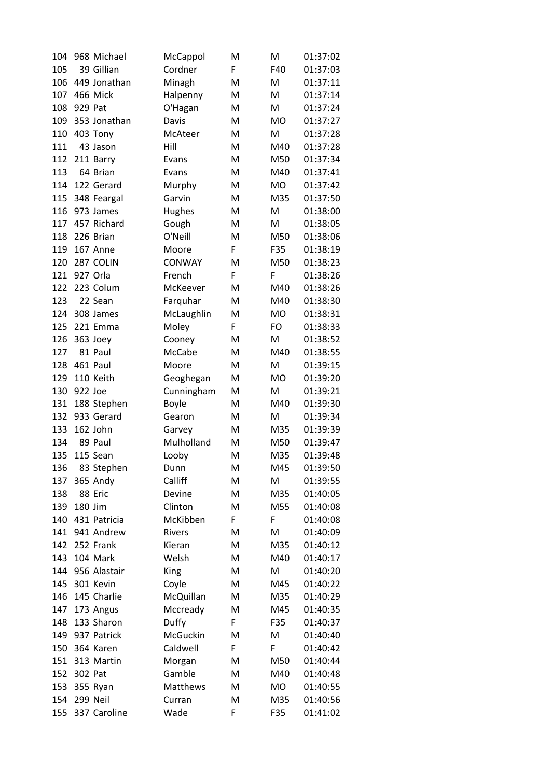| 104        | 968 Michael         | McCappol        | M      | M         | 01:37:02             |
|------------|---------------------|-----------------|--------|-----------|----------------------|
| 105        | 39 Gillian          | Cordner         | F      | F40       | 01:37:03             |
| 106        | 449 Jonathan        | Minagh          | M      | M         | 01:37:11             |
| 107        | 466 Mick            | Halpenny        | M      | M         | 01:37:14             |
| 108        | 929 Pat             | O'Hagan         | M      | M         | 01:37:24             |
| 109        | 353 Jonathan        | Davis           | M      | <b>MO</b> | 01:37:27             |
| 110        | 403 Tony            | McAteer         | M      | M         | 01:37:28             |
| 111        | 43 Jason            | Hill            | M      | M40       | 01:37:28             |
| 112        | 211 Barry           | Evans           | M      | M50       | 01:37:34             |
| 113        | 64 Brian            | Evans           | M      | M40       | 01:37:41             |
| 114        | 122 Gerard          | Murphy          | M      | <b>MO</b> | 01:37:42             |
| 115        | 348 Feargal         | Garvin          | M      | M35       | 01:37:50             |
| 116        | 973 James           | <b>Hughes</b>   | M      | M         | 01:38:00             |
| 117        | 457 Richard         | Gough           | M      | M         | 01:38:05             |
| 118        | 226 Brian           | O'Neill         | M      | M50       | 01:38:06             |
| 119        | 167 Anne            | Moore           | F      | F35       | 01:38:19             |
| 120        | 287 COLIN           | <b>CONWAY</b>   | M      | M50       | 01:38:23             |
| 121        | 927 Orla            | French          | F      | F         | 01:38:26             |
| 122        | 223 Colum           | McKeever        | M      | M40       | 01:38:26             |
| 123        | 22 Sean             | Farquhar        | M      | M40       | 01:38:30             |
| 124        | 308 James           | McLaughlin      | M      | <b>MO</b> | 01:38:31             |
| 125        | 221 Emma            | Moley           | F      | FO        | 01:38:33             |
| 126        | 363 Joey            | Cooney          | M      | M         | 01:38:52             |
| 127        | 81 Paul             | McCabe          | M      | M40       | 01:38:55             |
| 128        | 461 Paul            | Moore           | M      | M         | 01:39:15             |
| 129        | 110 Keith           | Geoghegan       | M      | <b>MO</b> | 01:39:20             |
| 130        | 922 Joe             | Cunningham      | M      | M         | 01:39:21             |
| 131        | 188 Stephen         | <b>Boyle</b>    | M      | M40       | 01:39:30             |
| 132        | 933 Gerard          | Gearon          | M      | M         | 01:39:34             |
| 133        | 162 John            | Garvey          | M      | M35       | 01:39:39             |
| 134        | 89 Paul             | Mulholland      | M      | M50       | 01:39:47             |
| 135        | 115 Sean            | Looby           | M      | M35       | 01:39:48             |
|            |                     |                 |        |           |                      |
| 136<br>137 | 83 Stephen          | Dunn<br>Calliff | M<br>M | M45<br>M  | 01:39:50<br>01:39:55 |
|            | 365 Andy<br>88 Eric | Devine          |        |           |                      |
| 138        | 180 Jim             |                 | M      | M35       | 01:40:05             |
| 139        |                     | Clinton         | M      | M55       | 01:40:08             |
| 140        | 431 Patricia        | McKibben        | F      | F         | 01:40:08             |
| 141        | 941 Andrew          | Rivers          | М      | M         | 01:40:09             |
| 142        | 252 Frank           | Kieran          | M      | M35       | 01:40:12             |
| 143        | 104 Mark            | Welsh           | M      | M40       | 01:40:17             |
| 144        | 956 Alastair        | King            | M      | M         | 01:40:20             |
| 145        | 301 Kevin           | Coyle           | Μ      | M45       | 01:40:22             |
| 146        | 145 Charlie         | McQuillan       | M      | M35       | 01:40:29             |
| 147        | 173 Angus           | Mccready        | M      | M45       | 01:40:35             |
| 148        | 133 Sharon          | Duffy           | F      | F35       | 01:40:37             |
| 149        | 937 Patrick         | McGuckin        | M      | M         | 01:40:40             |
| 150        | 364 Karen           | Caldwell        | F      | F         | 01:40:42             |
| 151        | 313 Martin          | Morgan          | Μ      | M50       | 01:40:44             |
| 152        | 302 Pat             | Gamble          | M      | M40       | 01:40:48             |
| 153        | 355 Ryan            | Matthews        | M      | <b>MO</b> | 01:40:55             |
| 154        | 299 Neil            | Curran          | M      | M35       | 01:40:56             |
| 155        | 337 Caroline        | Wade            | F      | F35       | 01:41:02             |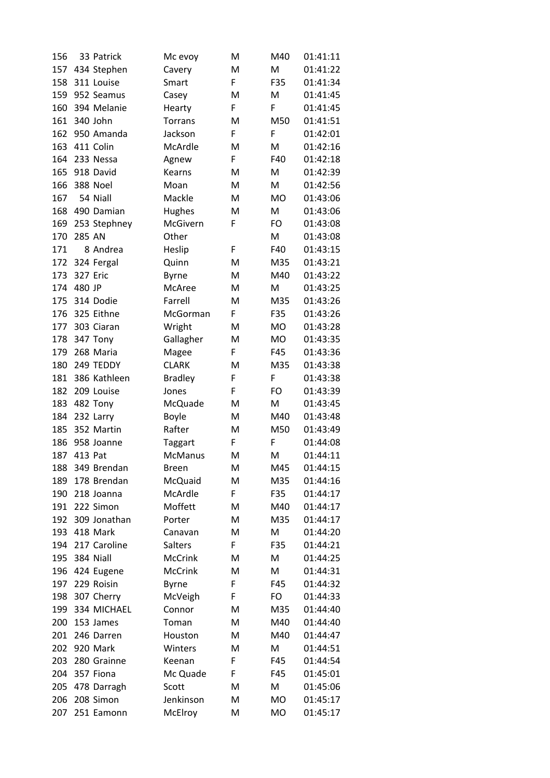| 156 |                 | 33 Patrick      | Mc evoy        | M | M40       | 01:41:11 |
|-----|-----------------|-----------------|----------------|---|-----------|----------|
| 157 |                 | 434 Stephen     | Cavery         | M | M         | 01:41:22 |
| 158 |                 | 311 Louise      | Smart          | F | F35       | 01:41:34 |
| 159 |                 | 952 Seamus      | Casey          | M | M         | 01:41:45 |
| 160 |                 | 394 Melanie     | Hearty         | F | F         | 01:41:45 |
| 161 |                 | 340 John        | <b>Torrans</b> | M | M50       | 01:41:51 |
| 162 |                 | 950 Amanda      | Jackson        | F | F         | 01:42:01 |
| 163 |                 | 411 Colin       | McArdle        | M | M         | 01:42:16 |
| 164 |                 | 233 Nessa       | Agnew          | F | F40       | 01:42:18 |
| 165 |                 | 918 David       | Kearns         | M | M         | 01:42:39 |
| 166 |                 | <b>388 Noel</b> | Moan           | M | M         | 01:42:56 |
| 167 |                 | 54 Niall        | Mackle         | M | <b>MO</b> | 01:43:06 |
| 168 |                 | 490 Damian      | Hughes         | M | M         | 01:43:06 |
| 169 |                 | 253 Stephney    | McGivern       | F | FO        | 01:43:08 |
| 170 | 285 AN          |                 | Other          |   | M         | 01:43:08 |
| 171 |                 | 8 Andrea        | Heslip         | F | F40       | 01:43:15 |
| 172 |                 | 324 Fergal      | Quinn          | M | M35       | 01:43:21 |
| 173 | <b>327 Eric</b> |                 | <b>Byrne</b>   | M | M40       | 01:43:22 |
| 174 | 480 JP          |                 | McAree         | M | M         | 01:43:25 |
| 175 |                 | 314 Dodie       | Farrell        | M | M35       | 01:43:26 |
| 176 |                 | 325 Eithne      | McGorman       | F | F35       | 01:43:26 |
| 177 |                 | 303 Ciaran      | Wright         | M | <b>MO</b> | 01:43:28 |
| 178 |                 | 347 Tony        | Gallagher      | M | <b>MO</b> | 01:43:35 |
| 179 |                 | 268 Maria       | Magee          | F | F45       | 01:43:36 |
| 180 |                 | 249 TEDDY       | <b>CLARK</b>   | M | M35       | 01:43:38 |
| 181 |                 | 386 Kathleen    | <b>Bradley</b> | F | F         | 01:43:38 |
| 182 |                 | 209 Louise      | Jones          | F | FO        | 01:43:39 |
| 183 |                 | 482 Tony        | McQuade        | M | M         | 01:43:45 |
| 184 |                 | 232 Larry       | <b>Boyle</b>   | M | M40       | 01:43:48 |
| 185 |                 | 352 Martin      | Rafter         | M | M50       | 01:43:49 |
| 186 |                 | 958 Joanne      | Taggart        | F | F         | 01:44:08 |
| 187 | 413 Pat         |                 | <b>McManus</b> | M | M         | 01:44:11 |
| 188 |                 | 349 Brendan     | Breen          | M | M45       | 01:44:15 |
| 189 |                 | 178 Brendan     | McQuaid        | M | M35       | 01:44:16 |
| 190 |                 | 218 Joanna      | McArdle        | F | F35       | 01:44:17 |
| 191 |                 | 222 Simon       | Moffett        | Μ | M40       | 01:44:17 |
| 192 |                 | 309 Jonathan    | Porter         | M | M35       | 01:44:17 |
| 193 |                 | 418 Mark        | Canavan        | M | M         | 01:44:20 |
| 194 |                 | 217 Caroline    | Salters        | F | F35       | 01:44:21 |
| 195 |                 | 384 Niall       | <b>McCrink</b> | M | M         | 01:44:25 |
| 196 |                 | 424 Eugene      | <b>McCrink</b> | M | M         | 01:44:31 |
| 197 |                 | 229 Roisin      | <b>Byrne</b>   | F | F45       | 01:44:32 |
| 198 |                 | 307 Cherry      | McVeigh        | F | FO        | 01:44:33 |
| 199 |                 | 334 MICHAEL     | Connor         | M | M35       | 01:44:40 |
| 200 |                 | 153 James       | Toman          | M | M40       | 01:44:40 |
| 201 |                 | 246 Darren      | Houston        | M | M40       | 01:44:47 |
| 202 |                 | 920 Mark        | Winters        | M | M         | 01:44:51 |
| 203 |                 | 280 Grainne     | Keenan         | F | F45       | 01:44:54 |
| 204 |                 | 357 Fiona       | Mc Quade       | F | F45       | 01:45:01 |
| 205 |                 | 478 Darragh     | Scott          | M | M         | 01:45:06 |
| 206 |                 | 208 Simon       | Jenkinson      | M | MO        | 01:45:17 |
| 207 |                 | 251 Eamonn      | McElroy        | M | MO        | 01:45:17 |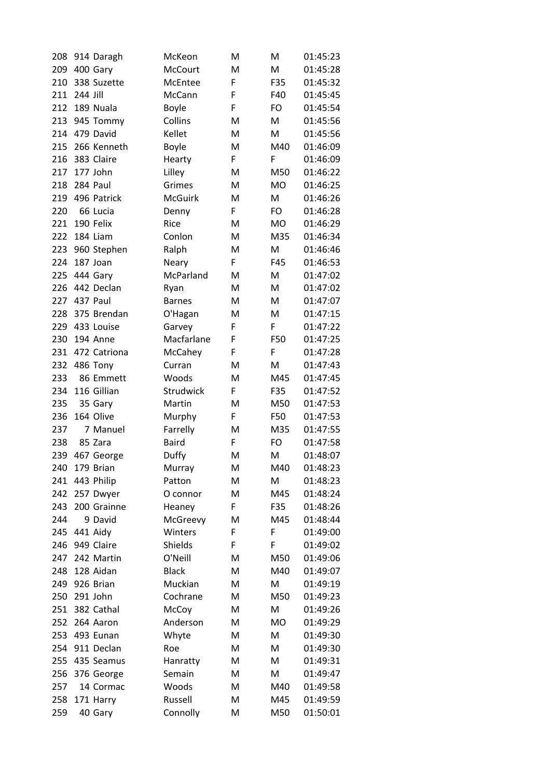| 208 |          | 914 Daragh   | McKeon         | M  | M         | 01:45:23 |
|-----|----------|--------------|----------------|----|-----------|----------|
| 209 |          | 400 Gary     | <b>McCourt</b> | M  | M         | 01:45:28 |
| 210 |          | 338 Suzette  | McEntee        | F  | F35       | 01:45:32 |
| 211 | 244 Jill |              | McCann         | F  | F40       | 01:45:45 |
| 212 |          | 189 Nuala    | <b>Boyle</b>   | F  | FO        | 01:45:54 |
| 213 |          | 945 Tommy    | Collins        | M  | M         | 01:45:56 |
| 214 |          | 479 David    | Kellet         | М  | M         | 01:45:56 |
| 215 |          | 266 Kenneth  | Boyle          | M  | M40       | 01:46:09 |
| 216 |          | 383 Claire   | Hearty         | F  | F         | 01:46:09 |
| 217 |          | 177 John     | Lilley         | M  | M50       | 01:46:22 |
| 218 | 284 Paul |              | Grimes         | M  | <b>MO</b> | 01:46:25 |
| 219 |          | 496 Patrick  | <b>McGuirk</b> | M  | M         | 01:46:26 |
| 220 |          | 66 Lucia     | Denny          | F  | FO        | 01:46:28 |
| 221 |          | 190 Felix    | Rice           | M  | <b>MO</b> | 01:46:29 |
| 222 |          | 184 Liam     | Conlon         | M  | M35       | 01:46:34 |
| 223 |          | 960 Stephen  | Ralph          | M  | M         | 01:46:46 |
| 224 | 187 Joan |              | Neary          | F  | F45       | 01:46:53 |
| 225 |          | 444 Gary     | McParland      | M  | M         | 01:47:02 |
| 226 |          | 442 Declan   | Ryan           | M  | M         | 01:47:02 |
| 227 | 437 Paul |              | <b>Barnes</b>  | M  | Μ         | 01:47:07 |
| 228 |          | 375 Brendan  | O'Hagan        | M  | M         | 01:47:15 |
| 229 |          | 433 Louise   | Garvey         | F  | F         | 01:47:22 |
| 230 |          | 194 Anne     | Macfarlane     | F  | F50       | 01:47:25 |
| 231 |          | 472 Catriona | McCahey        | F  | F         | 01:47:28 |
| 232 |          | 486 Tony     | Curran         | M  | M         | 01:47:43 |
| 233 |          | 86 Emmett    | Woods          | M  | M45       | 01:47:45 |
| 234 |          | 116 Gillian  | Strudwick      | F  | F35       | 01:47:52 |
| 235 |          | 35 Gary      | Martin         | M  | M50       | 01:47:53 |
| 236 |          | 164 Olive    | Murphy         | F  | F50       | 01:47:53 |
| 237 |          | 7 Manuel     | Farrelly       | M  | M35       | 01:47:55 |
| 238 |          | 85 Zara      | <b>Baird</b>   | F  | FO        | 01:47:58 |
| 239 |          | 467 George   | Duffy          | M  | M         | 01:48:07 |
| 240 |          | 179 Brian    | Murray         | M  | M40       | 01:48:23 |
| 241 |          | 443 Philip   | Patton         | M  | M         | 01:48:23 |
| 242 |          | 257 Dwyer    | O connor       | Μ  | M45       | 01:48:24 |
| 243 |          | 200 Grainne  | Heaney         | F. | F35       | 01:48:26 |
| 244 |          | 9 David      | McGreevy       | M  | M45       | 01:48:44 |
| 245 | 441 Aidy |              | Winters        | F  | F         | 01:49:00 |
| 246 |          | 949 Claire   | Shields        | F  | F         | 01:49:02 |
| 247 |          | 242 Martin   | O'Neill        | M  | M50       | 01:49:06 |
| 248 |          | 128 Aidan    | <b>Black</b>   | Μ  | M40       | 01:49:07 |
| 249 |          | 926 Brian    | Muckian        | Μ  | M         | 01:49:19 |
| 250 |          | 291 John     | Cochrane       | M  | M50       | 01:49:23 |
| 251 |          | 382 Cathal   | McCoy          | M  | M         | 01:49:26 |
| 252 |          | 264 Aaron    | Anderson       | Μ  | <b>MO</b> | 01:49:29 |
| 253 |          | 493 Eunan    | Whyte          | M  | M         | 01:49:30 |
| 254 |          | 911 Declan   | Roe            | M  | Μ         | 01:49:30 |
| 255 |          | 435 Seamus   | Hanratty       | Μ  | Μ         | 01:49:31 |
| 256 |          | 376 George   | Semain         | M  | M         | 01:49:47 |
| 257 |          | 14 Cormac    | Woods          | M  | M40       | 01:49:58 |
| 258 |          | 171 Harry    | Russell        | Μ  | M45       | 01:49:59 |
| 259 |          | 40 Gary      | Connolly       | M  | M50       | 01:50:01 |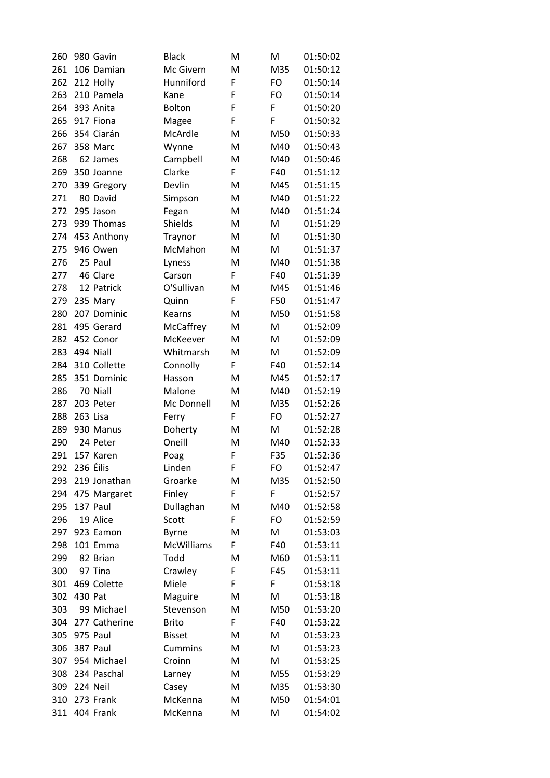| 260 |          | 980 Gavin     | <b>Black</b>      | м | м         | 01:50:02 |
|-----|----------|---------------|-------------------|---|-----------|----------|
| 261 |          | 106 Damian    | Mc Givern         | M | M35       | 01:50:12 |
| 262 |          | 212 Holly     | Hunniford         | F | <b>FO</b> | 01:50:14 |
| 263 |          | 210 Pamela    | Kane              | F | <b>FO</b> | 01:50:14 |
| 264 |          | 393 Anita     | Bolton            | F | F         | 01:50:20 |
| 265 |          | 917 Fiona     | Magee             | F | F         | 01:50:32 |
| 266 |          | 354 Ciarán    | McArdle           | M | M50       | 01:50:33 |
| 267 |          | 358 Marc      | Wynne             | M | M40       | 01:50:43 |
| 268 |          | 62 James      | Campbell          | M | M40       | 01:50:46 |
| 269 |          | 350 Joanne    | Clarke            | F | F40       | 01:51:12 |
| 270 |          | 339 Gregory   | Devlin            | M | M45       | 01:51:15 |
| 271 |          | 80 David      | Simpson           | M | M40       | 01:51:22 |
| 272 |          | 295 Jason     | Fegan             | M | M40       | 01:51:24 |
| 273 |          | 939 Thomas    | Shields           | M | M         | 01:51:29 |
| 274 |          | 453 Anthony   | Traynor           | M | M         | 01:51:30 |
| 275 |          | 946 Owen      | McMahon           | M | M         | 01:51:37 |
| 276 |          | 25 Paul       | Lyness            | M | M40       | 01:51:38 |
| 277 |          | 46 Clare      | Carson            | F | F40       | 01:51:39 |
| 278 |          | 12 Patrick    | O'Sullivan        | M | M45       | 01:51:46 |
| 279 |          | 235 Mary      | Quinn             | F | F50       | 01:51:47 |
| 280 |          | 207 Dominic   | Kearns            | M | M50       | 01:51:58 |
| 281 |          | 495 Gerard    | McCaffrey         | M | M         | 01:52:09 |
| 282 |          | 452 Conor     | McKeever          | M | M         | 01:52:09 |
| 283 |          | 494 Niall     | Whitmarsh         | M | M         | 01:52:09 |
| 284 |          | 310 Collette  | Connolly          | F | F40       | 01:52:14 |
| 285 |          | 351 Dominic   | Hasson            | M | M45       | 01:52:17 |
| 286 |          | 70 Niall      | Malone            | M | M40       | 01:52:19 |
| 287 |          | 203 Peter     | Mc Donnell        | M | M35       | 01:52:26 |
| 288 | 263 Lisa |               | Ferry             | F | <b>FO</b> | 01:52:27 |
| 289 |          | 930 Manus     | Doherty           | M | M         | 01:52:28 |
| 290 |          | 24 Peter      | Oneill            | M | M40       | 01:52:33 |
| 291 |          | 157 Karen     | Poag              | F | F35       | 01:52:36 |
| 292 |          | 236 Éilis     | Linden            | F | FO        | 01:52:47 |
| 293 |          | 219 Jonathan  | Groarke           | M | M35       | 01:52:50 |
| 294 |          | 475 Margaret  | Finley            | F | F         | 01:52:57 |
| 295 |          | 137 Paul      | Dullaghan         | M | M40       | 01:52:58 |
| 296 |          | 19 Alice      | Scott             | F | FO        | 01:52:59 |
| 297 |          | 923 Eamon     | <b>Byrne</b>      | М | M         | 01:53:03 |
| 298 |          | 101 Emma      | <b>McWilliams</b> | F | F40       | 01:53:11 |
| 299 |          | 82 Brian      | Todd              | M | M60       | 01:53:11 |
| 300 |          | 97 Tina       | Crawley           | F | F45       | 01:53:11 |
| 301 |          | 469 Colette   | Miele             | F | F         | 01:53:18 |
| 302 | 430 Pat  |               | Maguire           | M | M         | 01:53:18 |
| 303 |          | 99 Michael    | Stevenson         | M | M50       | 01:53:20 |
| 304 |          | 277 Catherine | <b>Brito</b>      | F | F40       | 01:53:22 |
| 305 |          | 975 Paul      | <b>Bisset</b>     | M | M         | 01:53:23 |
| 306 |          | 387 Paul      | <b>Cummins</b>    | M | M         | 01:53:23 |
| 307 |          | 954 Michael   | Croinn            | M | M         | 01:53:25 |
| 308 |          | 234 Paschal   | Larney            | M | M55       | 01:53:29 |
| 309 | 224 Neil |               | Casey             | M | M35       | 01:53:30 |
| 310 |          | 273 Frank     | McKenna           | M | M50       | 01:54:01 |
| 311 |          | 404 Frank     | McKenna           | M | M         | 01:54:02 |
|     |          |               |                   |   |           |          |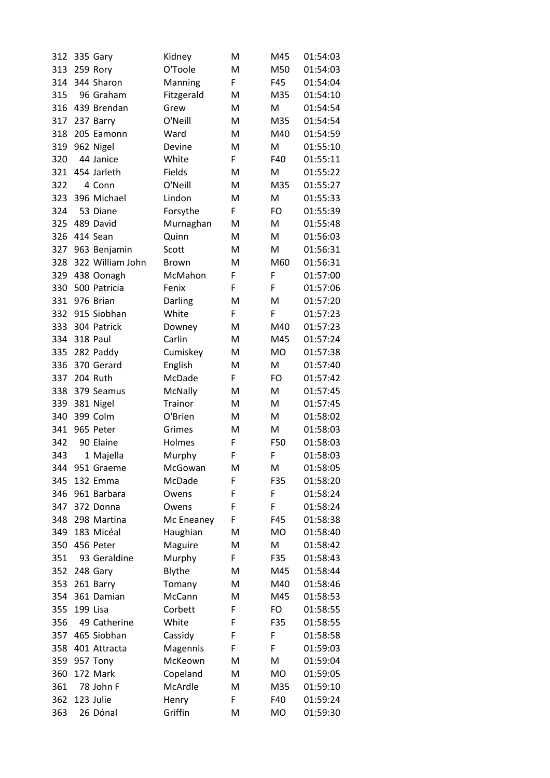| 312 | 335 Gary         | Kidney         | м  | M45       | 01:54:03 |
|-----|------------------|----------------|----|-----------|----------|
| 313 | 259 Rory         | O'Toole        | M  | M50       | 01:54:03 |
| 314 | 344 Sharon       | Manning        | F  | F45       | 01:54:04 |
| 315 | 96 Graham        | Fitzgerald     | M  | M35       | 01:54:10 |
| 316 | 439 Brendan      | Grew           | M  | M         | 01:54:54 |
| 317 | 237 Barry        | O'Neill        | M  | M35       | 01:54:54 |
| 318 | 205 Eamonn       | Ward           | M  | M40       | 01:54:59 |
| 319 | 962 Nigel        | Devine         | M  | M         | 01:55:10 |
| 320 | 44 Janice        | White          | F. | F40       | 01:55:11 |
| 321 | 454 Jarleth      | Fields         | M  | M         | 01:55:22 |
| 322 | 4 Conn           | O'Neill        | M  | M35       | 01:55:27 |
| 323 | 396 Michael      | Lindon         | M  | M         | 01:55:33 |
| 324 | 53 Diane         | Forsythe       | F  | FO        | 01:55:39 |
| 325 | 489 David        | Murnaghan      | M  | м         | 01:55:48 |
| 326 | 414 Sean         | Quinn          | M  | M         | 01:56:03 |
| 327 | 963 Benjamin     | Scott          | M  | M         | 01:56:31 |
| 328 | 322 William John | <b>Brown</b>   | M  | M60       | 01:56:31 |
| 329 | 438 Oonagh       | McMahon        | F  | F         | 01:57:00 |
| 330 | 500 Patricia     | Fenix          | F  | F         | 01:57:06 |
| 331 | 976 Brian        | Darling        | M  | M         | 01:57:20 |
| 332 | 915 Siobhan      | White          | F  | F         | 01:57:23 |
| 333 | 304 Patrick      | Downey         | M  | M40       | 01:57:23 |
| 334 | 318 Paul         | Carlin         | M  | M45       | 01:57:24 |
| 335 | 282 Paddy        | Cumiskey       | M  | <b>MO</b> | 01:57:38 |
| 336 | 370 Gerard       | English        | M  | M         | 01:57:40 |
| 337 | 204 Ruth         | McDade         | F. | FO        | 01:57:42 |
| 338 | 379 Seamus       | <b>McNally</b> | M  | M         | 01:57:45 |
| 339 | 381 Nigel        | Trainor        | M  | M         | 01:57:45 |
| 340 | 399 Colm         | O'Brien        | M  | M         | 01:58:02 |
| 341 | 965 Peter        | Grimes         | M  | M         | 01:58:03 |
| 342 | 90 Elaine        | Holmes         | F  | F50       | 01:58:03 |
| 343 | 1 Majella        | Murphy         | F  | F         | 01:58:03 |
| 344 | 951 Graeme       | McGowan        | M  | M         | 01:58:05 |
| 345 | 132 Emma         | McDade         | F  | F35       | 01:58:20 |
| 346 | 961 Barbara      | Owens          | F  | F         | 01:58:24 |
| 347 | 372 Donna        | Owens          | F  | F         | 01:58:24 |
| 348 | 298 Martina      | Mc Eneaney     | F  | F45       | 01:58:38 |
| 349 | 183 Micéal       | Haughian       | M  | <b>MO</b> | 01:58:40 |
| 350 | 456 Peter        | Maguire        | М  | M         | 01:58:42 |
| 351 | 93 Geraldine     | Murphy         | F  | F35       | 01:58:43 |
| 352 | 248 Gary         | Blythe         | Μ  | M45       | 01:58:44 |
| 353 | 261 Barry        | Tomany         | M  | M40       | 01:58:46 |
| 354 | 361 Damian       | McCann         | M  | M45       | 01:58:53 |
| 355 | 199 Lisa         | Corbett        | F  | <b>FO</b> | 01:58:55 |
| 356 | 49 Catherine     | White          | F  | F35       | 01:58:55 |
| 357 | 465 Siobhan      | Cassidy        | F  | F         | 01:58:58 |
| 358 | 401 Attracta     | Magennis       | F  | F         | 01:59:03 |
| 359 | 957 Tony         | McKeown        | M  | M         | 01:59:04 |
| 360 | 172 Mark         | Copeland       | M  | <b>MO</b> | 01:59:05 |
| 361 | 78 John F        | McArdle        | M  | M35       | 01:59:10 |
| 362 | 123 Julie        | Henry          | F  | F40       | 01:59:24 |
| 363 | 26 Dónal         | Griffin        | M  | MO        | 01:59:30 |
|     |                  |                |    |           |          |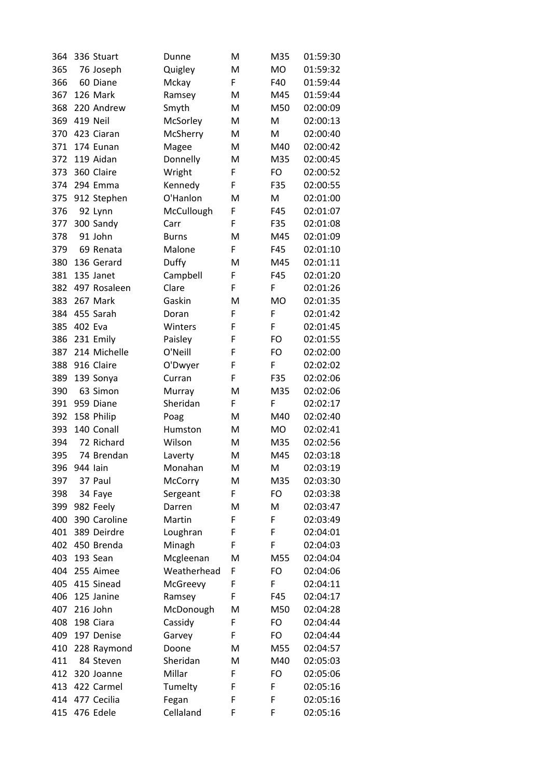| 364 |          | 336 Stuart                  | Dunne              | M      | M35       | 01:59:30 |
|-----|----------|-----------------------------|--------------------|--------|-----------|----------|
| 365 |          | 76 Joseph                   | Quigley            | M      | <b>MO</b> | 01:59:32 |
| 366 |          | 60 Diane                    | Mckay              | F      | F40       | 01:59:44 |
| 367 |          | 126 Mark                    | Ramsey             | M      | M45       | 01:59:44 |
| 368 |          | 220 Andrew                  | Smyth              | M      | M50       | 02:00:09 |
| 369 |          | <b>419 Neil</b>             | McSorley           | M      | M         | 02:00:13 |
| 370 |          | 423 Ciaran                  | McSherry           | М      | M         | 02:00:40 |
| 371 |          | 174 Eunan                   | Magee              | M      | M40       | 02:00:42 |
| 372 |          | 119 Aidan                   | Donnelly           | M      | M35       | 02:00:45 |
| 373 |          | 360 Claire                  | Wright             | F      | FO        | 02:00:52 |
| 374 |          | 294 Emma                    | Kennedy            | F      | F35       | 02:00:55 |
| 375 |          | 912 Stephen                 | O'Hanlon           | M      | M         | 02:01:00 |
| 376 |          | 92 Lynn                     | McCullough         | F      | F45       | 02:01:07 |
| 377 |          | 300 Sandy                   | Carr               | F      | F35       | 02:01:08 |
| 378 |          | 91 John                     | <b>Burns</b>       | M      | M45       | 02:01:09 |
| 379 |          | 69 Renata                   | Malone             | F      | F45       | 02:01:10 |
| 380 |          | 136 Gerard                  | Duffy              | M      | M45       | 02:01:11 |
| 381 |          | 135 Janet                   | Campbell           | F      | F45       | 02:01:20 |
| 382 |          | 497 Rosaleen                | Clare              | F      | F         | 02:01:26 |
| 383 |          | 267 Mark                    | Gaskin             | M      | <b>MO</b> | 02:01:35 |
| 384 |          | 455 Sarah                   | Doran              | F      | F         | 02:01:42 |
| 385 | 402 Eva  |                             | Winters            | F      | F         | 02:01:45 |
| 386 |          | 231 Emily                   | Paisley            | F      | FO        | 02:01:55 |
| 387 |          | 214 Michelle                | O'Neill            | F      | FO        | 02:02:00 |
| 388 |          | 916 Claire                  | O'Dwyer            | F      | F         | 02:02:02 |
| 389 |          | 139 Sonya                   | Curran             | F      | F35       | 02:02:06 |
| 390 |          | 63 Simon                    | Murray             | M      | M35       | 02:02:06 |
| 391 |          | 959 Diane                   | Sheridan           | F      | F         | 02:02:17 |
| 392 |          | 158 Philip                  | Poag               | M      | M40       | 02:02:40 |
| 393 |          | 140 Conall                  | Humston            | M      | MO        | 02:02:41 |
| 394 |          | 72 Richard                  | Wilson             | M      | M35       | 02:02:56 |
| 395 |          | 74 Brendan                  | Laverty            | M      | M45       | 02:03:18 |
| 396 | 944 lain |                             | Monahan            | м      | м         | 02:03:19 |
| 397 |          | 37 Paul                     | <b>McCorry</b>     | M      | M35       | 02:03:30 |
| 398 |          | 34 Faye                     |                    | F      | FO        | 02:03:38 |
| 399 |          | 982 Feely                   | Sergeant<br>Darren | Μ      | Μ         | 02:03:47 |
|     |          |                             | Martin             | F      | F         | 02:03:49 |
| 400 |          | 390 Caroline<br>389 Deirdre |                    |        | F         |          |
| 401 |          | 450 Brenda                  | Loughran           | F<br>F | F         | 02:04:01 |
| 402 |          |                             | Minagh             |        |           | 02:04:03 |
| 403 |          | 193 Sean                    | Mcgleenan          | M      | M55       | 02:04:04 |
| 404 |          | 255 Aimee                   | Weatherhead        | F      | FO        | 02:04:06 |
| 405 |          | 415 Sinead                  | McGreevy           | F      | F         | 02:04:11 |
| 406 |          | 125 Janine                  | Ramsey             | F      | F45       | 02:04:17 |
| 407 |          | 216 John                    | McDonough          | M      | M50       | 02:04:28 |
| 408 |          | 198 Ciara                   | Cassidy            | F      | FO        | 02:04:44 |
| 409 |          | 197 Denise                  | Garvey             | F      | FO        | 02:04:44 |
| 410 |          | 228 Raymond                 | Doone              | M      | M55       | 02:04:57 |
| 411 |          | 84 Steven                   | Sheridan           | Μ      | M40       | 02:05:03 |
| 412 |          | 320 Joanne                  | Millar             | F      | FO        | 02:05:06 |
| 413 |          | 422 Carmel                  | Tumelty            | F      | F         | 02:05:16 |
| 414 |          | 477 Cecilia                 | Fegan              | F      | F         | 02:05:16 |
| 415 |          | 476 Edele                   | Cellaland          | F      | F         | 02:05:16 |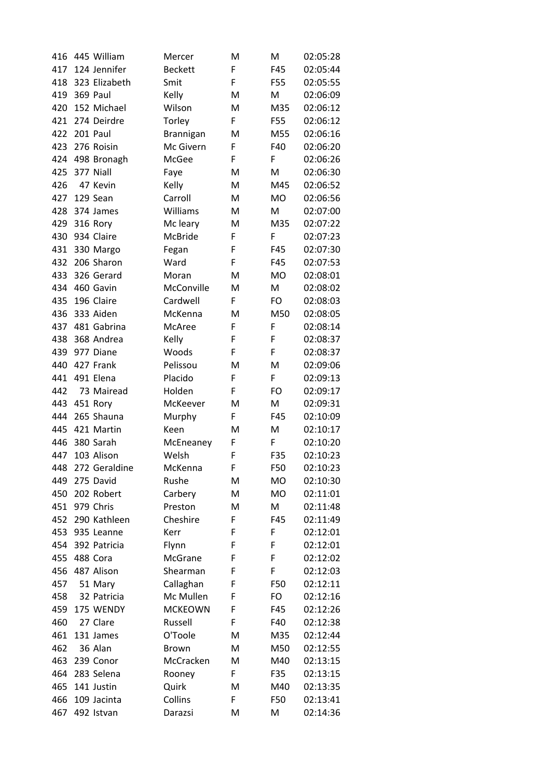| 416 | 445 William   | Mercer         | M | M         | 02:05:28 |
|-----|---------------|----------------|---|-----------|----------|
| 417 | 124 Jennifer  | <b>Beckett</b> | F | F45       | 02:05:44 |
| 418 | 323 Elizabeth | Smit           | F | F55       | 02:05:55 |
| 419 | 369 Paul      | Kelly          | M | M         | 02:06:09 |
| 420 | 152 Michael   | Wilson         | M | M35       | 02:06:12 |
| 421 | 274 Deirdre   | Torley         | F | F55       | 02:06:12 |
| 422 | 201 Paul      | Brannigan      | M | M55       | 02:06:16 |
| 423 | 276 Roisin    | Mc Givern      | F | F40       | 02:06:20 |
| 424 | 498 Bronagh   | McGee          | F | F         | 02:06:26 |
| 425 | 377 Niall     | Faye           | M | M         | 02:06:30 |
| 426 | 47 Kevin      | Kelly          | M | M45       | 02:06:52 |
| 427 | 129 Sean      | Carroll        | M | <b>MO</b> | 02:06:56 |
| 428 | 374 James     | Williams       | M | M         | 02:07:00 |
| 429 | 316 Rory      | Mc leary       | M | M35       | 02:07:22 |
| 430 | 934 Claire    | McBride        | F | F         | 02:07:23 |
| 431 | 330 Margo     | Fegan          | F | F45       | 02:07:30 |
| 432 | 206 Sharon    | Ward           | F | F45       | 02:07:53 |
| 433 | 326 Gerard    | Moran          | M | <b>MO</b> | 02:08:01 |
| 434 | 460 Gavin     | McConville     | M | M         | 02:08:02 |
| 435 | 196 Claire    | Cardwell       | F | FO        | 02:08:03 |
| 436 | 333 Aiden     | McKenna        | M | M50       | 02:08:05 |
| 437 | 481 Gabrina   | McAree         | F | F         | 02:08:14 |
| 438 | 368 Andrea    | Kelly          | F | F         | 02:08:37 |
| 439 | 977 Diane     | Woods          | F | F         | 02:08:37 |
| 440 | 427 Frank     | Pelissou       | M | M         | 02:09:06 |
| 441 | 491 Elena     | Placido        | F | F         | 02:09:13 |
| 442 | 73 Mairead    | Holden         | F | FO        | 02:09:17 |
| 443 | 451 Rory      | McKeever       | M | M         | 02:09:31 |
| 444 | 265 Shauna    | Murphy         | F | F45       | 02:10:09 |
| 445 | 421 Martin    | Keen           | M | M         | 02:10:17 |
| 446 | 380 Sarah     | McEneaney      | F | F         | 02:10:20 |
| 447 | 103 Alison    | Welsh          | F | F35       | 02:10:23 |
| 448 | 272 Geraldine | McKenna        | F | F50       | 02:10:23 |
| 449 | 275 David     | Rushe          | M | <b>MO</b> | 02:10:30 |
| 450 | 202 Robert    | Carbery        | M | <b>MO</b> | 02:11:01 |
| 451 | 979 Chris     | Preston        | M | M         | 02:11:48 |
| 452 | 290 Kathleen  | Cheshire       | F | F45       | 02:11:49 |
| 453 | 935 Leanne    | Kerr           | F | F         | 02:12:01 |
| 454 | 392 Patricia  | Flynn          | F | F         | 02:12:01 |
| 455 | 488 Cora      | McGrane        | F | F         | 02:12:02 |
| 456 | 487 Alison    | Shearman       | F | F         | 02:12:03 |
| 457 | 51 Mary       | Callaghan      | F | F50       | 02:12:11 |
| 458 | 32 Patricia   | Mc Mullen      | F | FO        | 02:12:16 |
| 459 | 175 WENDY     | <b>MCKEOWN</b> | F | F45       | 02:12:26 |
| 460 | 27 Clare      | Russell        | F | F40       | 02:12:38 |
| 461 | 131 James     | O'Toole        | M | M35       | 02:12:44 |
| 462 | 36 Alan       | <b>Brown</b>   | M | M50       | 02:12:55 |
| 463 | 239 Conor     | McCracken      | M | M40       | 02:13:15 |
| 464 | 283 Selena    | Rooney         | F | F35       | 02:13:15 |
| 465 | 141 Justin    | Quirk          | M | M40       | 02:13:35 |
| 466 | 109 Jacinta   | Collins        | F | F50       | 02:13:41 |
| 467 | 492 Istvan    | Darazsi        | M | M         | 02:14:36 |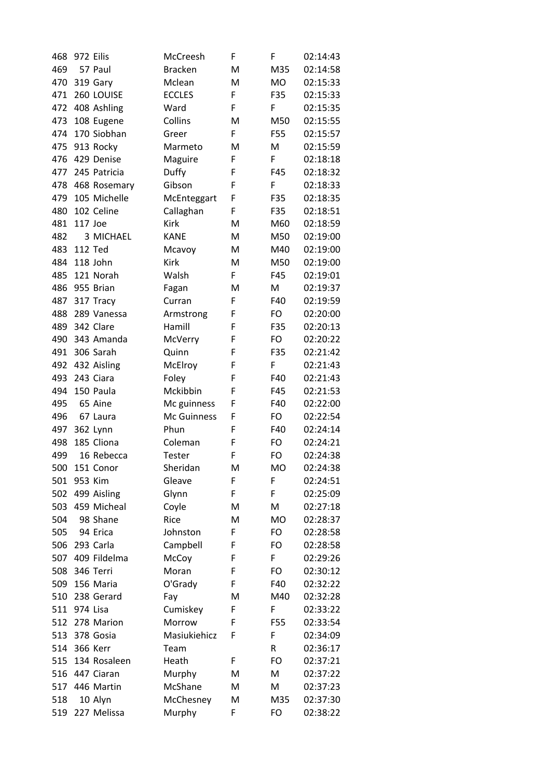| 468 |                | 972 Eilis    | McCreesh       | F  | F         | 02:14:43 |
|-----|----------------|--------------|----------------|----|-----------|----------|
| 469 |                | 57 Paul      | <b>Bracken</b> | M  | M35       | 02:14:58 |
| 470 |                | 319 Gary     | Mclean         | M  | <b>MO</b> | 02:15:33 |
| 471 |                | 260 LOUISE   | <b>ECCLES</b>  | F  | F35       | 02:15:33 |
| 472 |                | 408 Ashling  | Ward           | F  | F         | 02:15:35 |
| 473 |                | 108 Eugene   | Collins        | M  | M50       | 02:15:55 |
| 474 |                | 170 Siobhan  | Greer          | F. | F55       | 02:15:57 |
| 475 |                | 913 Rocky    | Marmeto        | M  | M         | 02:15:59 |
| 476 |                | 429 Denise   | Maguire        | F  | F         | 02:18:18 |
| 477 |                | 245 Patricia | Duffy          | F  | F45       | 02:18:32 |
| 478 |                | 468 Rosemary | Gibson         | F  | F         | 02:18:33 |
| 479 |                | 105 Michelle | McEnteggart    | F  | F35       | 02:18:35 |
| 480 |                | 102 Celine   | Callaghan      | F  | F35       | 02:18:51 |
| 481 | 117 Joe        |              | <b>Kirk</b>    | M  | M60       | 02:18:59 |
| 482 |                | 3 MICHAEL    | <b>KANE</b>    | M  | M50       | 02:19:00 |
| 483 | <b>112 Ted</b> |              | Mcavoy         | Μ  | M40       | 02:19:00 |
| 484 |                | 118 John     | <b>Kirk</b>    | M  | M50       | 02:19:00 |
| 485 |                | 121 Norah    | Walsh          | F  | F45       | 02:19:01 |
| 486 |                | 955 Brian    | Fagan          | M  | M         | 02:19:37 |
| 487 |                | 317 Tracy    | Curran         | F  | F40       | 02:19:59 |
| 488 |                | 289 Vanessa  | Armstrong      | F  | FO        | 02:20:00 |
| 489 |                | 342 Clare    | Hamill         | F  | F35       | 02:20:13 |
| 490 |                | 343 Amanda   | McVerry        | F  | FO        | 02:20:22 |
| 491 |                | 306 Sarah    | Quinn          | F  | F35       | 02:21:42 |
| 492 |                | 432 Aisling  | McElroy        | F  | F         | 02:21:43 |
| 493 |                | 243 Ciara    | Foley          | F  | F40       | 02:21:43 |
| 494 |                | 150 Paula    | Mckibbin       | F  | F45       | 02:21:53 |
| 495 |                | 65 Aine      | Mc guinness    | F  | F40       | 02:22:00 |
| 496 |                | 67 Laura     | Mc Guinness    | F  | FO        | 02:22:54 |
| 497 |                | 362 Lynn     | Phun           | F  | F40       | 02:24:14 |
| 498 |                | 185 Cliona   | Coleman        | F  | FO        | 02:24:21 |
| 499 |                | 16 Rebecca   | Tester         | F  | FO        | 02:24:38 |
| 500 |                | 151 Conor    | Sheridan       | M  | <b>MO</b> | 02:24:38 |
| 501 |                | 953 Kim      | Gleave         | F  | F         | 02:24:51 |
| 502 |                | 499 Aisling  | Glynn          | F  | F         | 02:25:09 |
| 503 |                | 459 Micheal  | Coyle          | Μ  | M         | 02:27:18 |
| 504 |                | 98 Shane     | Rice           | M  | <b>MO</b> | 02:28:37 |
| 505 |                | 94 Erica     | Johnston       | F  | FO        | 02:28:58 |
| 506 |                | 293 Carla    | Campbell       | F  | FO        | 02:28:58 |
| 507 |                | 409 Fildelma | McCoy          | F  | F         | 02:29:26 |
| 508 |                | 346 Terri    | Moran          | F  | FO        | 02:30:12 |
| 509 |                | 156 Maria    | O'Grady        | F  | F40       | 02:32:22 |
| 510 |                | 238 Gerard   | Fay            | M  | M40       | 02:32:28 |
| 511 | 974 Lisa       |              | Cumiskey       | F  | F         | 02:33:22 |
| 512 |                | 278 Marion   | Morrow         | F  | F55       | 02:33:54 |
| 513 |                | 378 Gosia    | Masiukiehicz   | F  | F         | 02:34:09 |
| 514 |                | 366 Kerr     | Team           |    | R         | 02:36:17 |
| 515 |                | 134 Rosaleen | Heath          | F  | FO        | 02:37:21 |
| 516 |                | 447 Ciaran   | Murphy         | M  | M         | 02:37:22 |
| 517 |                | 446 Martin   | McShane        | M  | M         | 02:37:23 |
| 518 |                | 10 Alyn      | McChesney      | M  | M35       | 02:37:30 |
| 519 |                | 227 Melissa  | Murphy         | F  | FO        | 02:38:22 |